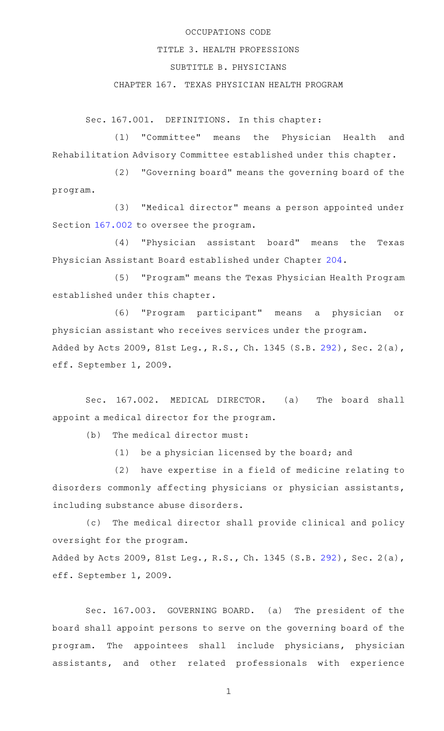## OCCUPATIONS CODE

#### TITLE 3. HEALTH PROFESSIONS

## SUBTITLE B. PHYSICIANS

# CHAPTER 167. TEXAS PHYSICIAN HEALTH PROGRAM

Sec. 167.001. DEFINITIONS. In this chapter:

(1) "Committee" means the Physician Health and Rehabilitation Advisory Committee established under this chapter.

(2) "Governing board" means the governing board of the program.

(3) "Medical director" means a person appointed under Section [167.002](http://www.statutes.legis.state.tx.us/GetStatute.aspx?Code=OC&Value=167.002) to oversee the program.

(4) "Physician assistant board" means the Texas Physician Assistant Board established under Chapter [204](http://www.statutes.legis.state.tx.us/GetStatute.aspx?Code=OC&Value=204).

(5) "Program" means the Texas Physician Health Program established under this chapter.

(6) "Program participant" means a physician or physician assistant who receives services under the program. Added by Acts 2009, 81st Leg., R.S., Ch. 1345 (S.B. [292](http://www.legis.state.tx.us/tlodocs/81R/billtext/html/SB00292F.HTM)), Sec. 2(a), eff. September 1, 2009.

Sec. 167.002. MEDICAL DIRECTOR. (a) The board shall appoint a medical director for the program.

 $(b)$  The medical director must:

 $(1)$  be a physician licensed by the board; and

(2) have expertise in a field of medicine relating to disorders commonly affecting physicians or physician assistants, including substance abuse disorders.

(c) The medical director shall provide clinical and policy oversight for the program.

Added by Acts 2009, 81st Leg., R.S., Ch. 1345 (S.B. [292](http://www.legis.state.tx.us/tlodocs/81R/billtext/html/SB00292F.HTM)), Sec. 2(a), eff. September 1, 2009.

Sec. 167.003. GOVERNING BOARD. (a) The president of the board shall appoint persons to serve on the governing board of the program. The appointees shall include physicians, physician assistants, and other related professionals with experience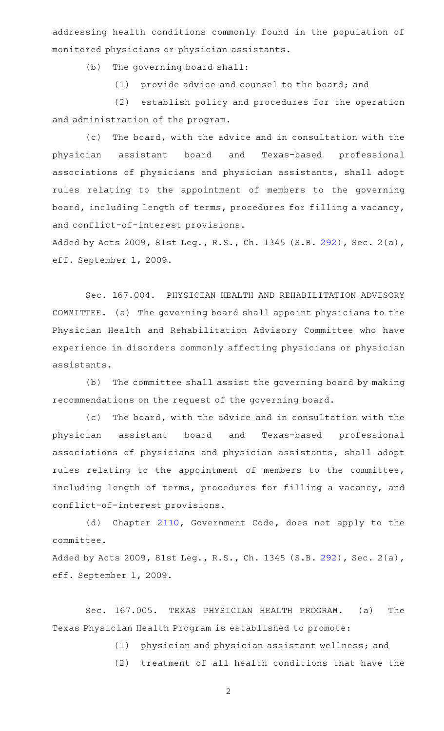addressing health conditions commonly found in the population of monitored physicians or physician assistants.

(b) The governing board shall:

(1) provide advice and counsel to the board; and

(2) establish policy and procedures for the operation and administration of the program.

(c) The board, with the advice and in consultation with the physician assistant board and Texas-based professional associations of physicians and physician assistants, shall adopt rules relating to the appointment of members to the governing board, including length of terms, procedures for filling a vacancy, and conflict-of-interest provisions.

Added by Acts 2009, 81st Leg., R.S., Ch. 1345 (S.B. [292](http://www.legis.state.tx.us/tlodocs/81R/billtext/html/SB00292F.HTM)), Sec. 2(a), eff. September 1, 2009.

Sec. 167.004. PHYSICIAN HEALTH AND REHABILITATION ADVISORY COMMITTEE. (a) The governing board shall appoint physicians to the Physician Health and Rehabilitation Advisory Committee who have experience in disorders commonly affecting physicians or physician assistants.

(b) The committee shall assist the governing board by making recommendations on the request of the governing board.

(c) The board, with the advice and in consultation with the physician assistant board and Texas-based professional associations of physicians and physician assistants, shall adopt rules relating to the appointment of members to the committee, including length of terms, procedures for filling a vacancy, and conflict-of-interest provisions.

(d) Chapter [2110](http://www.statutes.legis.state.tx.us/GetStatute.aspx?Code=GV&Value=2110), Government Code, does not apply to the committee.

Added by Acts 2009, 81st Leg., R.S., Ch. 1345 (S.B. [292](http://www.legis.state.tx.us/tlodocs/81R/billtext/html/SB00292F.HTM)), Sec. 2(a), eff. September 1, 2009.

Sec. 167.005. TEXAS PHYSICIAN HEALTH PROGRAM. (a) The Texas Physician Health Program is established to promote:

(1) physician and physician assistant wellness; and

(2) treatment of all health conditions that have the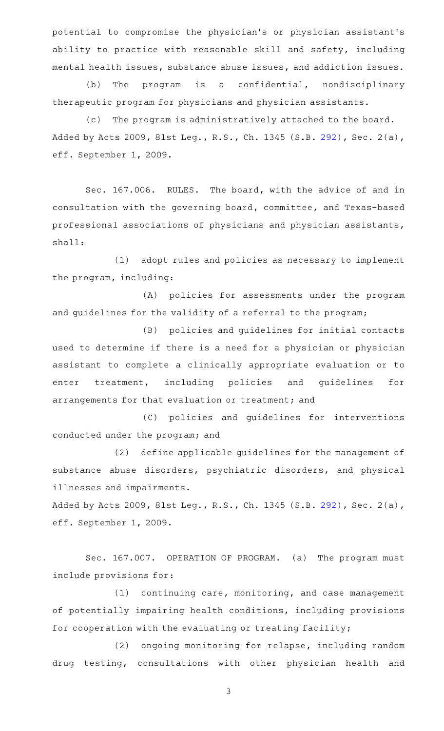potential to compromise the physician 's or physician assistant 's ability to practice with reasonable skill and safety, including mental health issues, substance abuse issues, and addiction issues.

(b) The program is a confidential, nondisciplinary therapeutic program for physicians and physician assistants.

(c) The program is administratively attached to the board. Added by Acts 2009, 81st Leg., R.S., Ch. 1345 (S.B. [292](http://www.legis.state.tx.us/tlodocs/81R/billtext/html/SB00292F.HTM)), Sec. 2(a), eff. September 1, 2009.

Sec. 167.006. RULES. The board, with the advice of and in consultation with the governing board, committee, and Texas-based professional associations of physicians and physician assistants, shall:

(1) adopt rules and policies as necessary to implement the program, including:

(A) policies for assessments under the program and guidelines for the validity of a referral to the program;

(B) policies and guidelines for initial contacts used to determine if there is a need for a physician or physician assistant to complete a clinically appropriate evaluation or to enter treatment, including policies and guidelines for arrangements for that evaluation or treatment; and

(C) policies and guidelines for interventions conducted under the program; and

(2) define applicable guidelines for the management of substance abuse disorders, psychiatric disorders, and physical illnesses and impairments.

Added by Acts 2009, 81st Leg., R.S., Ch. 1345 (S.B. [292](http://www.legis.state.tx.us/tlodocs/81R/billtext/html/SB00292F.HTM)), Sec. 2(a), eff. September 1, 2009.

Sec. 167.007. OPERATION OF PROGRAM. (a) The program must include provisions for:

 $(1)$  continuing care, monitoring, and case management of potentially impairing health conditions, including provisions for cooperation with the evaluating or treating facility;

(2) ongoing monitoring for relapse, including random drug testing, consultations with other physician health and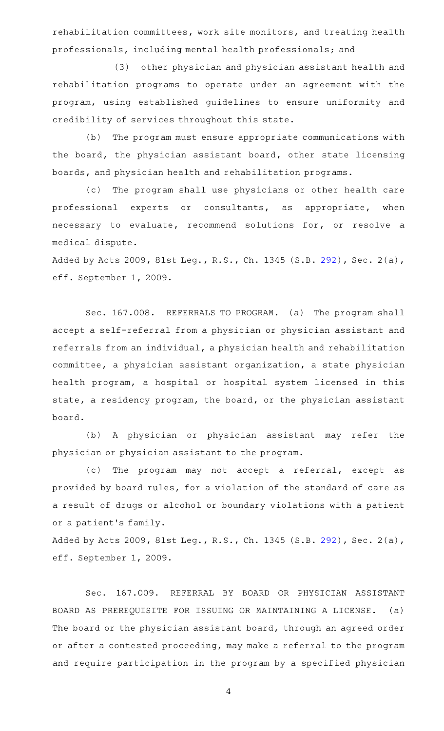rehabilitation committees, work site monitors, and treating health professionals, including mental health professionals; and

(3) other physician and physician assistant health and rehabilitation programs to operate under an agreement with the program, using established guidelines to ensure uniformity and credibility of services throughout this state.

(b) The program must ensure appropriate communications with the board, the physician assistant board, other state licensing boards, and physician health and rehabilitation programs.

(c) The program shall use physicians or other health care professional experts or consultants, as appropriate, when necessary to evaluate, recommend solutions for, or resolve a medical dispute.

Added by Acts 2009, 81st Leg., R.S., Ch. 1345 (S.B. [292](http://www.legis.state.tx.us/tlodocs/81R/billtext/html/SB00292F.HTM)), Sec. 2(a), eff. September 1, 2009.

Sec. 167.008. REFERRALS TO PROGRAM. (a) The program shall accept a self-referral from a physician or physician assistant and referrals from an individual, a physician health and rehabilitation committee, a physician assistant organization, a state physician health program, a hospital or hospital system licensed in this state, a residency program, the board, or the physician assistant board.

(b) A physician or physician assistant may refer the physician or physician assistant to the program.

(c) The program may not accept a referral, except as provided by board rules, for a violation of the standard of care as a result of drugs or alcohol or boundary violations with a patient or a patient 's family.

Added by Acts 2009, 81st Leg., R.S., Ch. 1345 (S.B. [292](http://www.legis.state.tx.us/tlodocs/81R/billtext/html/SB00292F.HTM)), Sec. 2(a), eff. September 1, 2009.

Sec. 167.009. REFERRAL BY BOARD OR PHYSICIAN ASSISTANT BOARD AS PREREQUISITE FOR ISSUING OR MAINTAINING A LICENSE. (a) The board or the physician assistant board, through an agreed order or after a contested proceeding, may make a referral to the program and require participation in the program by a specified physician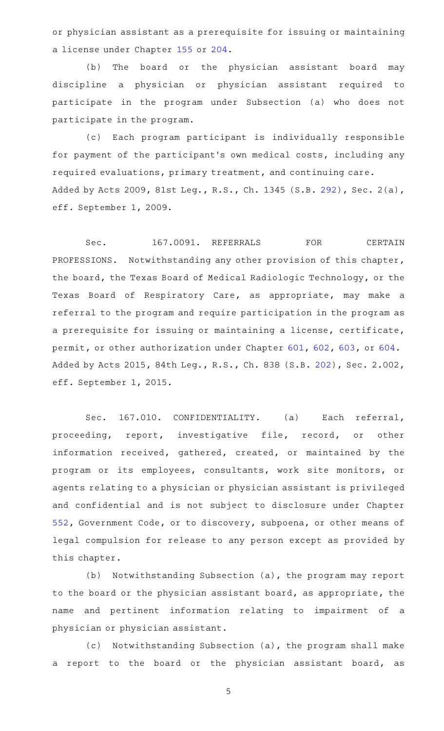or physician assistant as a prerequisite for issuing or maintaining a license under Chapter [155](http://www.statutes.legis.state.tx.us/GetStatute.aspx?Code=OC&Value=155) or [204.](http://www.statutes.legis.state.tx.us/GetStatute.aspx?Code=OC&Value=204)

(b) The board or the physician assistant board may discipline a physician or physician assistant required to participate in the program under Subsection (a) who does not participate in the program.

(c) Each program participant is individually responsible for payment of the participant 's own medical costs, including any required evaluations, primary treatment, and continuing care. Added by Acts 2009, 81st Leg., R.S., Ch. 1345 (S.B. [292](http://www.legis.state.tx.us/tlodocs/81R/billtext/html/SB00292F.HTM)), Sec. 2(a), eff. September 1, 2009.

Sec. 167.0091. REFERRALS FOR CERTAIN PROFESSIONS. Notwithstanding any other provision of this chapter, the board, the Texas Board of Medical Radiologic Technology, or the Texas Board of Respiratory Care, as appropriate, may make a referral to the program and require participation in the program as a prerequisite for issuing or maintaining a license, certificate, permit, or other authorization under Chapter [601](http://www.statutes.legis.state.tx.us/GetStatute.aspx?Code=OC&Value=601), [602](http://www.statutes.legis.state.tx.us/GetStatute.aspx?Code=OC&Value=602), [603,](http://www.statutes.legis.state.tx.us/GetStatute.aspx?Code=OC&Value=603) or [604](http://www.statutes.legis.state.tx.us/GetStatute.aspx?Code=OC&Value=604). Added by Acts 2015, 84th Leg., R.S., Ch. 838 (S.B. [202\)](http://www.legis.state.tx.us/tlodocs/84R/billtext/html/SB00202F.HTM), Sec. 2.002, eff. September 1, 2015.

Sec. 167.010. CONFIDENTIALITY. (a) Each referral, proceeding, report, investigative file, record, or other information received, gathered, created, or maintained by the program or its employees, consultants, work site monitors, or agents relating to a physician or physician assistant is privileged and confidential and is not subject to disclosure under Chapter [552,](http://www.statutes.legis.state.tx.us/GetStatute.aspx?Code=GV&Value=552) Government Code, or to discovery, subpoena, or other means of legal compulsion for release to any person except as provided by this chapter.

(b) Notwithstanding Subsection (a), the program may report to the board or the physician assistant board, as appropriate, the name and pertinent information relating to impairment of a physician or physician assistant.

(c) Notwithstanding Subsection (a), the program shall make a report to the board or the physician assistant board, as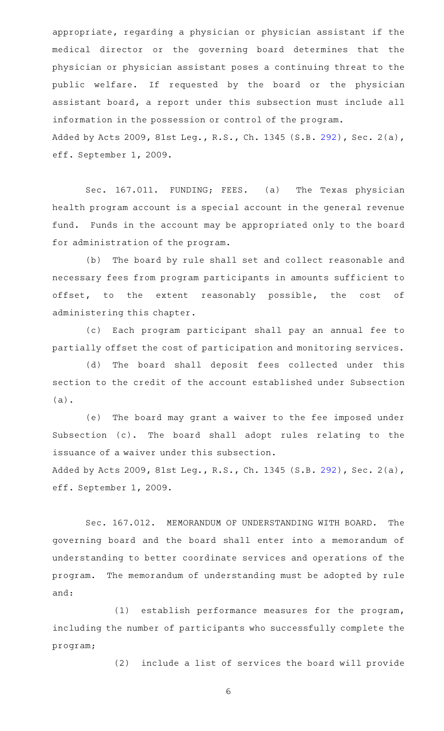appropriate, regarding a physician or physician assistant if the medical director or the governing board determines that the physician or physician assistant poses a continuing threat to the public welfare. If requested by the board or the physician assistant board, a report under this subsection must include all information in the possession or control of the program. Added by Acts 2009, 81st Leg., R.S., Ch. 1345 (S.B. [292](http://www.legis.state.tx.us/tlodocs/81R/billtext/html/SB00292F.HTM)), Sec. 2(a), eff. September 1, 2009.

Sec. 167.011. FUNDING; FEES. (a) The Texas physician health program account is a special account in the general revenue fund. Funds in the account may be appropriated only to the board for administration of the program.

(b) The board by rule shall set and collect reasonable and necessary fees from program participants in amounts sufficient to offset, to the extent reasonably possible, the cost of administering this chapter.

(c) Each program participant shall pay an annual fee to partially offset the cost of participation and monitoring services.

(d) The board shall deposit fees collected under this section to the credit of the account established under Subsection (a).

(e) The board may grant a waiver to the fee imposed under Subsection (c). The board shall adopt rules relating to the issuance of a waiver under this subsection.

Added by Acts 2009, 81st Leg., R.S., Ch. 1345 (S.B. [292](http://www.legis.state.tx.us/tlodocs/81R/billtext/html/SB00292F.HTM)), Sec. 2(a), eff. September 1, 2009.

Sec. 167.012. MEMORANDUM OF UNDERSTANDING WITH BOARD. The governing board and the board shall enter into a memorandum of understanding to better coordinate services and operations of the program. The memorandum of understanding must be adopted by rule and:

 $(1)$  establish performance measures for the program, including the number of participants who successfully complete the program;

(2) include a list of services the board will provide